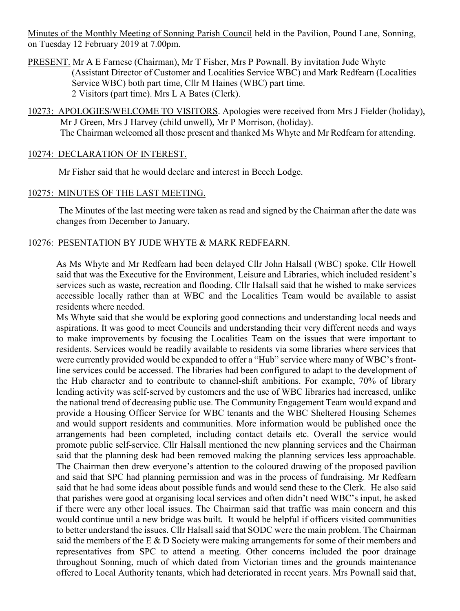Minutes of the Monthly Meeting of Sonning Parish Council held in the Pavilion, Pound Lane, Sonning, on Tuesday 12 February 2019 at 7.00pm.

- PRESENT. Mr A E Farnese (Chairman), Mr T Fisher, Mrs P Pownall. By invitation Jude Whyte (Assistant Director of Customer and Localities Service WBC) and Mark Redfearn (Localities Service WBC) both part time, Cllr M Haines (WBC) part time. 2 Visitors (part time). Mrs L A Bates (Clerk).
- 10273: APOLOGIES/WELCOME TO VISITORS. Apologies were received from Mrs J Fielder (holiday), Mr J Green, Mrs J Harvey (child unwell), Mr P Morrison, (holiday). The Chairman welcomed all those present and thanked Ms Whyte and Mr Redfearn for attending.

#### 10274: DECLARATION OF INTEREST.

Mr Fisher said that he would declare and interest in Beech Lodge.

#### 10275: MINUTES OF THE LAST MEETING.

The Minutes of the last meeting were taken as read and signed by the Chairman after the date was changes from December to January.

#### 10276: PESENTATION BY JUDE WHYTE & MARK REDFEARN.

As Ms Whyte and Mr Redfearn had been delayed Cllr John Halsall (WBC) spoke. Cllr Howell said that was the Executive for the Environment, Leisure and Libraries, which included resident's services such as waste, recreation and flooding. Cllr Halsall said that he wished to make services accessible locally rather than at WBC and the Localities Team would be available to assist residents where needed.

Ms Whyte said that she would be exploring good connections and understanding local needs and aspirations. It was good to meet Councils and understanding their very different needs and ways to make improvements by focusing the Localities Team on the issues that were important to residents. Services would be readily available to residents via some libraries where services that were currently provided would be expanded to offer a "Hub" service where many of WBC's frontline services could be accessed. The libraries had been configured to adapt to the development of the Hub character and to contribute to channel-shift ambitions. For example, 70% of library lending activity was self-served by customers and the use of WBC libraries had increased, unlike the national trend of decreasing public use. The Community Engagement Team would expand and provide a Housing Officer Service for WBC tenants and the WBC Sheltered Housing Schemes and would support residents and communities. More information would be published once the arrangements had been completed, including contact details etc. Overall the service would promote public self-service. Cllr Halsall mentioned the new planning services and the Chairman said that the planning desk had been removed making the planning services less approachable. The Chairman then drew everyone's attention to the coloured drawing of the proposed pavilion and said that SPC had planning permission and was in the process of fundraising. Mr Redfearn said that he had some ideas about possible funds and would send these to the Clerk. He also said that parishes were good at organising local services and often didn't need WBC's input, he asked if there were any other local issues. The Chairman said that traffic was main concern and this would continue until a new bridge was built. It would be helpful if officers visited communities to better understand the issues. Cllr Halsall said that SODC were the main problem. The Chairman said the members of the E & D Society were making arrangements for some of their members and representatives from SPC to attend a meeting. Other concerns included the poor drainage throughout Sonning, much of which dated from Victorian times and the grounds maintenance offered to Local Authority tenants, which had deteriorated in recent years. Mrs Pownall said that,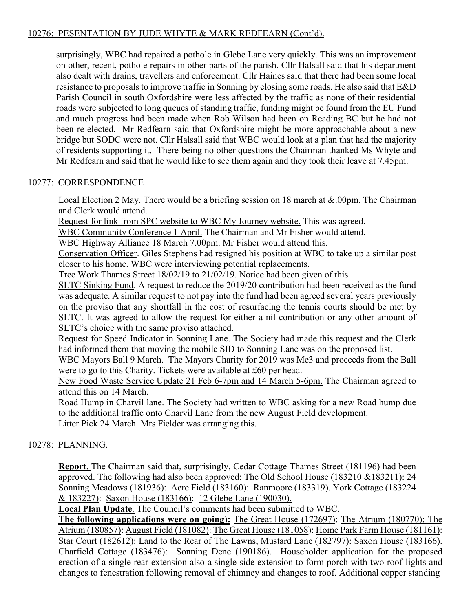# 10276: PESENTATION BY JUDE WHYTE & MARK REDFEARN (Cont'd).

surprisingly, WBC had repaired a pothole in Glebe Lane very quickly. This was an improvement on other, recent, pothole repairs in other parts of the parish. Cllr Halsall said that his department also dealt with drains, travellers and enforcement. Cllr Haines said that there had been some local resistance to proposals to improve traffic in Sonning by closing some roads. He also said that E&D Parish Council in south Oxfordshire were less affected by the traffic as none of their residential roads were subjected to long queues of standing traffic, funding might be found from the EU Fund and much progress had been made when Rob Wilson had been on Reading BC but he had not been re-elected. Mr Redfearn said that Oxfordshire might be more approachable about a new bridge but SODC were not. Cllr Halsall said that WBC would look at a plan that had the majority of residents supporting it. There being no other questions the Chairman thanked Ms Whyte and Mr Redfearn and said that he would like to see them again and they took their leave at 7.45pm.

# 10277: CORRESPONDENCE

Local Election 2 May. There would be a briefing session on 18 march at &.00pm. The Chairman and Clerk would attend.

Request for link from SPC website to WBC My Journey website. This was agreed.

WBC Community Conference 1 April. The Chairman and Mr Fisher would attend.

WBC Highway Alliance 18 March 7.00pm. Mr Fisher would attend this.

Conservation Officer. Giles Stephens had resigned his position at WBC to take up a similar post closer to his home. WBC were interviewing potential replacements.

Tree Work Thames Street 18/02/19 to 21/02/19. Notice had been given of this.

SLTC Sinking Fund. A request to reduce the 2019/20 contribution had been received as the fund was adequate. A similar request to not pay into the fund had been agreed several years previously on the proviso that any shortfall in the cost of resurfacing the tennis courts should be met by SLTC. It was agreed to allow the request for either a nil contribution or any other amount of SLTC's choice with the same proviso attached.

Request for Speed Indicator in Sonning Lane. The Society had made this request and the Clerk had informed them that moving the mobile SID to Sonning Lane was on the proposed list.

WBC Mayors Ball 9 March. The Mayors Charity for 2019 was Me3 and proceeds from the Ball were to go to this Charity. Tickets were available at £60 per head.

New Food Waste Service Update 21 Feb 6-7pm and 14 March 5-6pm. The Chairman agreed to attend this on 14 March.

Road Hump in Charvil lane. The Society had written to WBC asking for a new Road hump due to the additional traffic onto Charvil Lane from the new August Field development. Litter Pick 24 March. Mrs Fielder was arranging this.

# 10278: PLANNING.

**Report**. The Chairman said that, surprisingly, Cedar Cottage Thames Street (181196) had been approved. The following had also been approved: The Old School House (183210 &183211): 24 Sonning Meadows (181936): Acre Field (183160): Ranmoore (183319). York Cottage (183224 & 183227): Saxon House (183166): 12 Glebe Lane (190030).

**Local Plan Update**. The Council's comments had been submitted to WBC.

**The following applications were on going**)**:** The Great House (172697): The Atrium (180770): The Atrium (180857): August Field (181082): The Great House (181058): Home Park Farm House (181161): Star Court (182612): Land to the Rear of The Lawns, Mustard Lane (182797): Saxon House (183166). Charfield Cottage (183476): Sonning Dene (190186). Householder application for the proposed erection of a single rear extension also a single side extension to form porch with two roof-lights and changes to fenestration following removal of chimney and changes to roof. Additional copper standing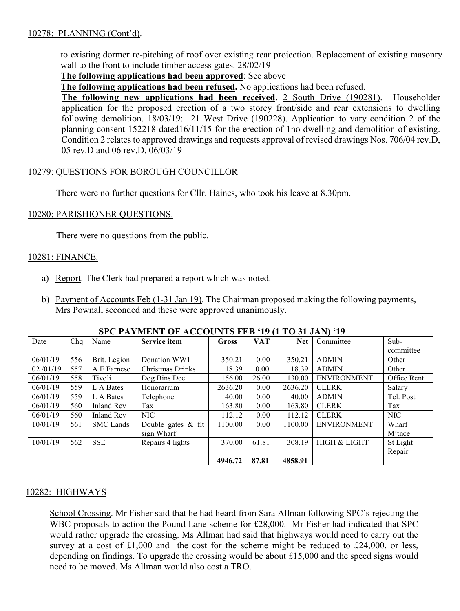# 10278: PLANNING (Cont'd).

to existing dormer re-pitching of roof over existing rear projection. Replacement of existing masonry wall to the front to include timber access gates. 28/02/19

#### **The following applications had been approved**: See above

**The following applications had been refused.** No applications had been refused.

**The following new applications had been received.** 2 South Drive (190281). Householder application for the proposed erection of a two storey front/side and rear extensions to dwelling following demolition. 18/03/19: 21 West Drive (190228). Application to vary condition 2 of the planning consent 152218 dated16/11/15 for the erection of 1no dwelling and demolition of existing. Condition 2 relates to approved drawings and requests approval of revised drawings Nos. 706/04 rev.D, 05 rev.D and 06 rev.D. 06/03/19

### 10279: QUESTIONS FOR BOROUGH COUNCILLOR

There were no further questions for Cllr. Haines, who took his leave at 8.30pm.

#### 10280: PARISHIONER QUESTIONS.

There were no questions from the public.

### 10281: FINANCE.

- a) Report. The Clerk had prepared a report which was noted.
- b) Payment of Accounts Feb (1-31 Jan 19). The Chairman proposed making the following payments, Mrs Pownall seconded and these were approved unanimously.

| Date     | Chq | Name              | <b>Service item</b> | <b>Gross</b> | VAT   | <b>Net</b> | Committee          | Sub-        |
|----------|-----|-------------------|---------------------|--------------|-------|------------|--------------------|-------------|
|          |     |                   |                     |              |       |            |                    | committee   |
| 06/01/19 | 556 | Brit. Legion      | Donation WW1        | 350.21       | 0.00  | 350.21     | <b>ADMIN</b>       | Other       |
| 02/01/19 | 557 | A E Farnese       | Christmas Drinks    | 18.39        | 0.00  | 18.39      | <b>ADMIN</b>       | Other       |
| 06/01/19 | 558 | Tivoli            | Dog Bins Dec        | 156.00       | 26.00 | 130.00     | <b>ENVIRONMENT</b> | Office Rent |
| 06/01/19 | 559 | L A Bates         | Honorarium          | 2636.20      | 0.00  | 2636.20    | <b>CLERK</b>       | Salary      |
| 06/01/19 | 559 | L A Bates         | Telephone           | 40.00        | 0.00  | 40.00      | <b>ADMIN</b>       | Tel. Post   |
| 06/01/19 | 560 | <b>Inland Rev</b> | Tax                 | 163.80       | 0.00  | 163.80     | <b>CLERK</b>       | Tax         |
| 06/01/19 | 560 | <b>Inland Rev</b> | NIC                 | 112.12       | 0.00  | 112.12     | <b>CLERK</b>       | <b>NIC</b>  |
| 10/01/19 | 561 | <b>SMC</b> Lands  | Double gates & fit  | 1100.00      | 0.00  | 1100.00    | <b>ENVIRONMENT</b> | Wharf       |
|          |     |                   | sign Wharf          |              |       |            |                    | M'tnce      |
| 10/01/19 | 562 | <b>SSE</b>        | Repairs 4 lights    | 370.00       | 61.81 | 308.19     | HIGH & LIGHT       | St Light    |
|          |     |                   |                     |              |       |            |                    | Repair      |
|          |     |                   |                     | 4946.72      | 87.81 | 4858.91    |                    |             |

#### **SPC PAYMENT OF ACCOUNTS FEB '19 (1 TO 31 JAN) '19**

#### 10282: HIGHWAYS

School Crossing. Mr Fisher said that he had heard from Sara Allman following SPC's rejecting the WBC proposals to action the Pound Lane scheme for £28,000. Mr Fisher had indicated that SPC would rather upgrade the crossing. Ms Allman had said that highways would need to carry out the survey at a cost of £1,000 and the cost for the scheme might be reduced to £24,000, or less, depending on findings. To upgrade the crossing would be about £15,000 and the speed signs would need to be moved. Ms Allman would also cost a TRO.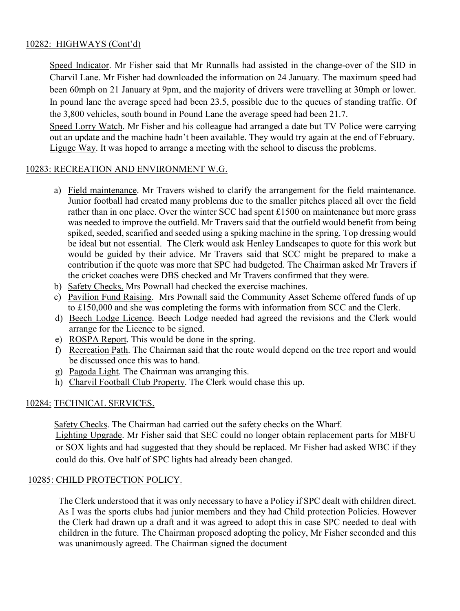# 10282: HIGHWAYS (Cont'd)

Speed Indicator. Mr Fisher said that Mr Runnalls had assisted in the change-over of the SID in Charvil Lane. Mr Fisher had downloaded the information on 24 January. The maximum speed had been 60mph on 21 January at 9pm, and the majority of drivers were travelling at 30mph or lower. In pound lane the average speed had been 23.5, possible due to the queues of standing traffic. Of the 3,800 vehicles, south bound in Pound Lane the average speed had been 21.7.

Speed Lorry Watch. Mr Fisher and his colleague had arranged a date but TV Police were carrying out an update and the machine hadn't been available. They would try again at the end of February. Liguge Way. It was hoped to arrange a meeting with the school to discuss the problems.

### 10283: RECREATION AND ENVIRONMENT W.G.

- a) Field maintenance. Mr Travers wished to clarify the arrangement for the field maintenance. Junior football had created many problems due to the smaller pitches placed all over the field rather than in one place. Over the winter SCC had spent £1500 on maintenance but more grass was needed to improve the outfield. Mr Travers said that the outfield would benefit from being spiked, seeded, scarified and seeded using a spiking machine in the spring. Top dressing would be ideal but not essential. The Clerk would ask Henley Landscapes to quote for this work but would be guided by their advice. Mr Travers said that SCC might be prepared to make a contribution if the quote was more that SPC had budgeted. The Chairman asked Mr Travers if the cricket coaches were DBS checked and Mr Travers confirmed that they were.
- b) Safety Checks. Mrs Pownall had checked the exercise machines.
- c) Pavilion Fund Raising. Mrs Pownall said the Community Asset Scheme offered funds of up to £150,000 and she was completing the forms with information from SCC and the Clerk.
- d) Beech Lodge Licence. Beech Lodge needed had agreed the revisions and the Clerk would arrange for the Licence to be signed.
- e) ROSPA Report. This would be done in the spring.
- f) Recreation Path. The Chairman said that the route would depend on the tree report and would be discussed once this was to hand.
- g) Pagoda Light. The Chairman was arranging this.
- h) Charvil Football Club Property. The Clerk would chase this up.

#### 10284: TECHNICAL SERVICES.

Safety Checks. The Chairman had carried out the safety checks on the Wharf.

Lighting Upgrade. Mr Fisher said that SEC could no longer obtain replacement parts for MBFU or SOX lights and had suggested that they should be replaced. Mr Fisher had asked WBC if they could do this. Ove half of SPC lights had already been changed.

# 10285: CHILD PROTECTION POLICY.

The Clerk understood that it was only necessary to have a Policy if SPC dealt with children direct. As I was the sports clubs had junior members and they had Child protection Policies. However the Clerk had drawn up a draft and it was agreed to adopt this in case SPC needed to deal with children in the future. The Chairman proposed adopting the policy, Mr Fisher seconded and this was unanimously agreed. The Chairman signed the document